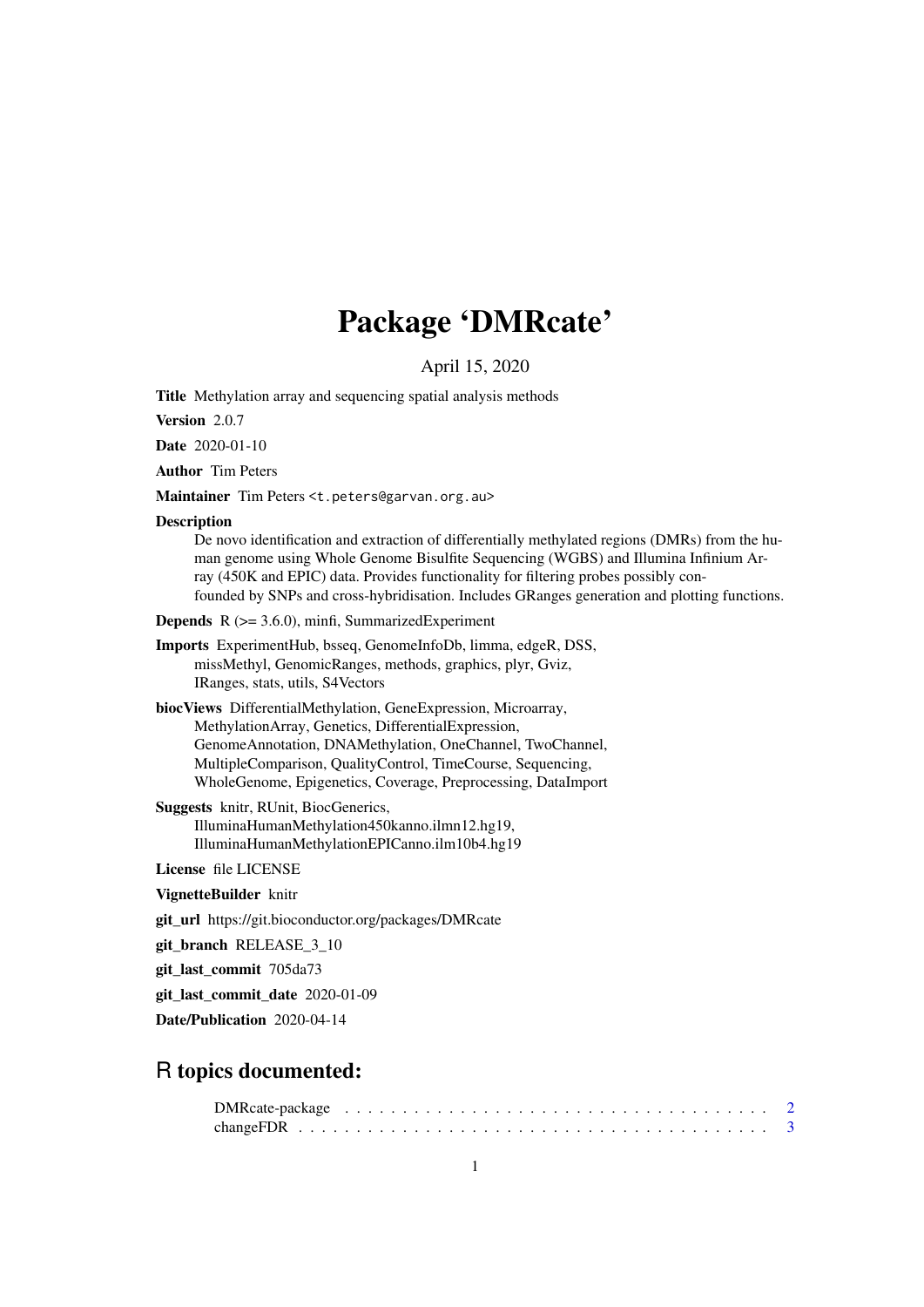## Package 'DMRcate'

April 15, 2020

Title Methylation array and sequencing spatial analysis methods

Version 2.0.7

Date 2020-01-10

Author Tim Peters

Maintainer Tim Peters <t.peters@garvan.org.au>

#### Description

De novo identification and extraction of differentially methylated regions (DMRs) from the human genome using Whole Genome Bisulfite Sequencing (WGBS) and Illumina Infinium Array (450K and EPIC) data. Provides functionality for filtering probes possibly confounded by SNPs and cross-hybridisation. Includes GRanges generation and plotting functions.

```
Depends R (>= 3.6.0), minfi, SummarizedExperiment
```
Imports ExperimentHub, bsseq, GenomeInfoDb, limma, edgeR, DSS, missMethyl, GenomicRanges, methods, graphics, plyr, Gviz, IRanges, stats, utils, S4Vectors

biocViews DifferentialMethylation, GeneExpression, Microarray, MethylationArray, Genetics, DifferentialExpression, GenomeAnnotation, DNAMethylation, OneChannel, TwoChannel, MultipleComparison, QualityControl, TimeCourse, Sequencing, WholeGenome, Epigenetics, Coverage, Preprocessing, DataImport

Suggests knitr, RUnit, BiocGenerics, IlluminaHumanMethylation450kanno.ilmn12.hg19, IlluminaHumanMethylationEPICanno.ilm10b4.hg19

License file LICENSE

VignetteBuilder knitr

git\_url https://git.bioconductor.org/packages/DMRcate

git branch RELEASE 3 10

git\_last\_commit 705da73

git last commit date 2020-01-09

Date/Publication 2020-04-14

### R topics documented:

| $DMRcate\text{-}package \dots \dots \dots \dots \dots \dots \dots \dots \dots \dots \dots \dots \dots \dots \dots \dots \dots \dots$ |  |  |  |  |  |  |  |  |  |  |  |  |  |  |  |  |  |  |  |  |  |
|--------------------------------------------------------------------------------------------------------------------------------------|--|--|--|--|--|--|--|--|--|--|--|--|--|--|--|--|--|--|--|--|--|
|                                                                                                                                      |  |  |  |  |  |  |  |  |  |  |  |  |  |  |  |  |  |  |  |  |  |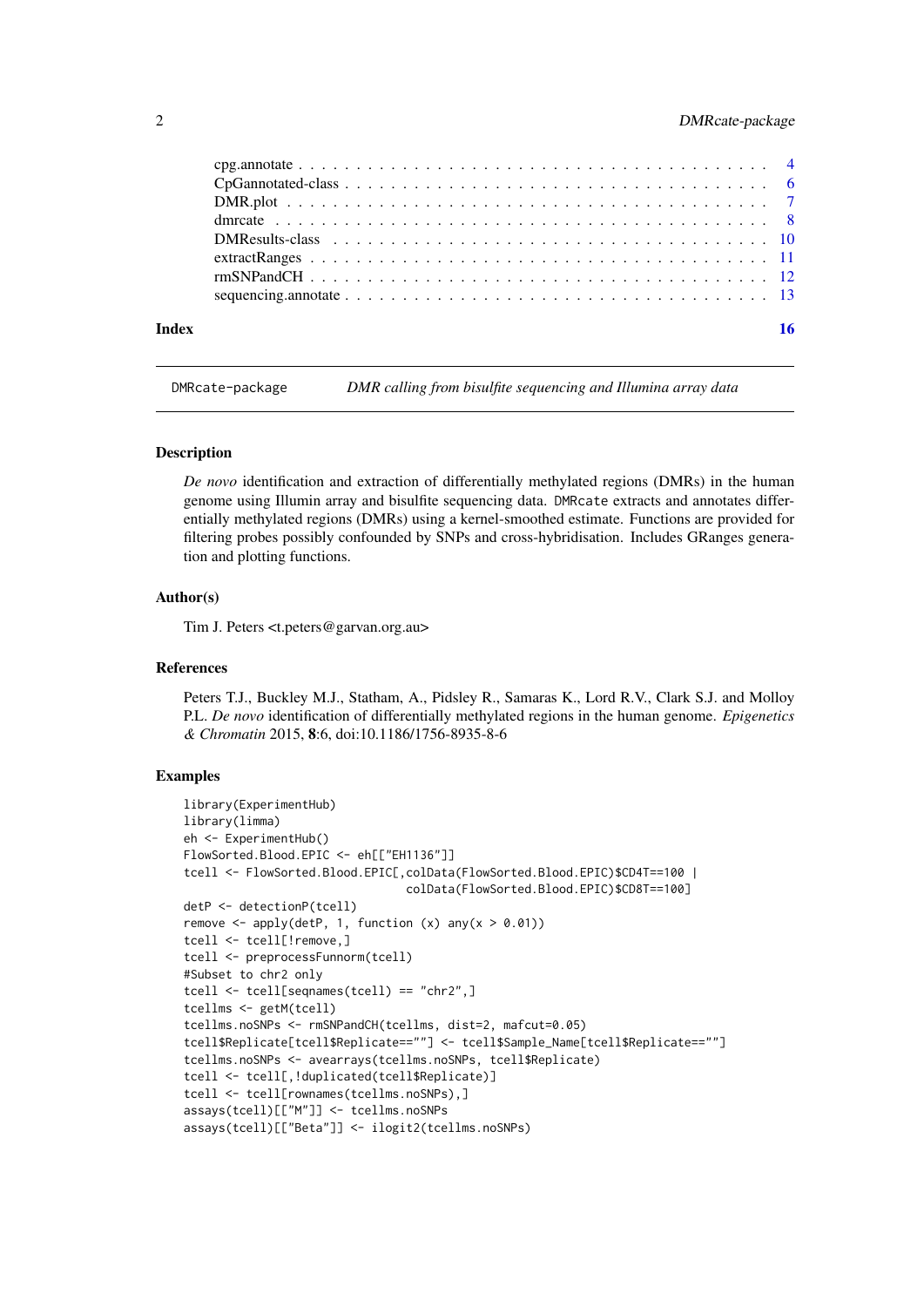#### <span id="page-1-0"></span>2 DMRcate-package

| <b>Index</b> | 16 |
|--------------|----|

DMRcate-package *DMR calling from bisulfite sequencing and Illumina array data*

#### **Description**

*De novo* identification and extraction of differentially methylated regions (DMRs) in the human genome using Illumin array and bisulfite sequencing data. DMRcate extracts and annotates differentially methylated regions (DMRs) using a kernel-smoothed estimate. Functions are provided for filtering probes possibly confounded by SNPs and cross-hybridisation. Includes GRanges generation and plotting functions.

#### Author(s)

Tim J. Peters <t.peters@garvan.org.au>

#### References

Peters T.J., Buckley M.J., Statham, A., Pidsley R., Samaras K., Lord R.V., Clark S.J. and Molloy P.L. *De novo* identification of differentially methylated regions in the human genome. *Epigenetics & Chromatin* 2015, 8:6, doi:10.1186/1756-8935-8-6

```
library(ExperimentHub)
library(limma)
eh <- ExperimentHub()
FlowSorted.Blood.EPIC <- eh[["EH1136"]]
tcell <- FlowSorted.Blood.EPIC[,colData(FlowSorted.Blood.EPIC)$CD4T==100 |
                                colData(FlowSorted.Blood.EPIC)$CD8T==100]
detP <- detectionP(tcell)
remove \leq apply(detP, 1, function (x) any(x > 0.01))
tcell <- tcell[!remove,]
tcell <- preprocessFunnorm(tcell)
#Subset to chr2 only
tcell <- tcell[seqnames(tcell) == "chr2",]
tcellms <- getM(tcell)
tcellms.noSNPs <- rmSNPandCH(tcellms, dist=2, mafcut=0.05)
tcell$Replicate[tcell$Replicate==""] <- tcell$Sample_Name[tcell$Replicate==""]
tcellms.noSNPs <- avearrays(tcellms.noSNPs, tcell$Replicate)
tcell <- tcell[,!duplicated(tcell$Replicate)]
tcell <- tcell[rownames(tcellms.noSNPs),]
assays(tcell)[["M"]] <- tcellms.noSNPs
assays(tcell)[["Beta"]] <- ilogit2(tcellms.noSNPs)
```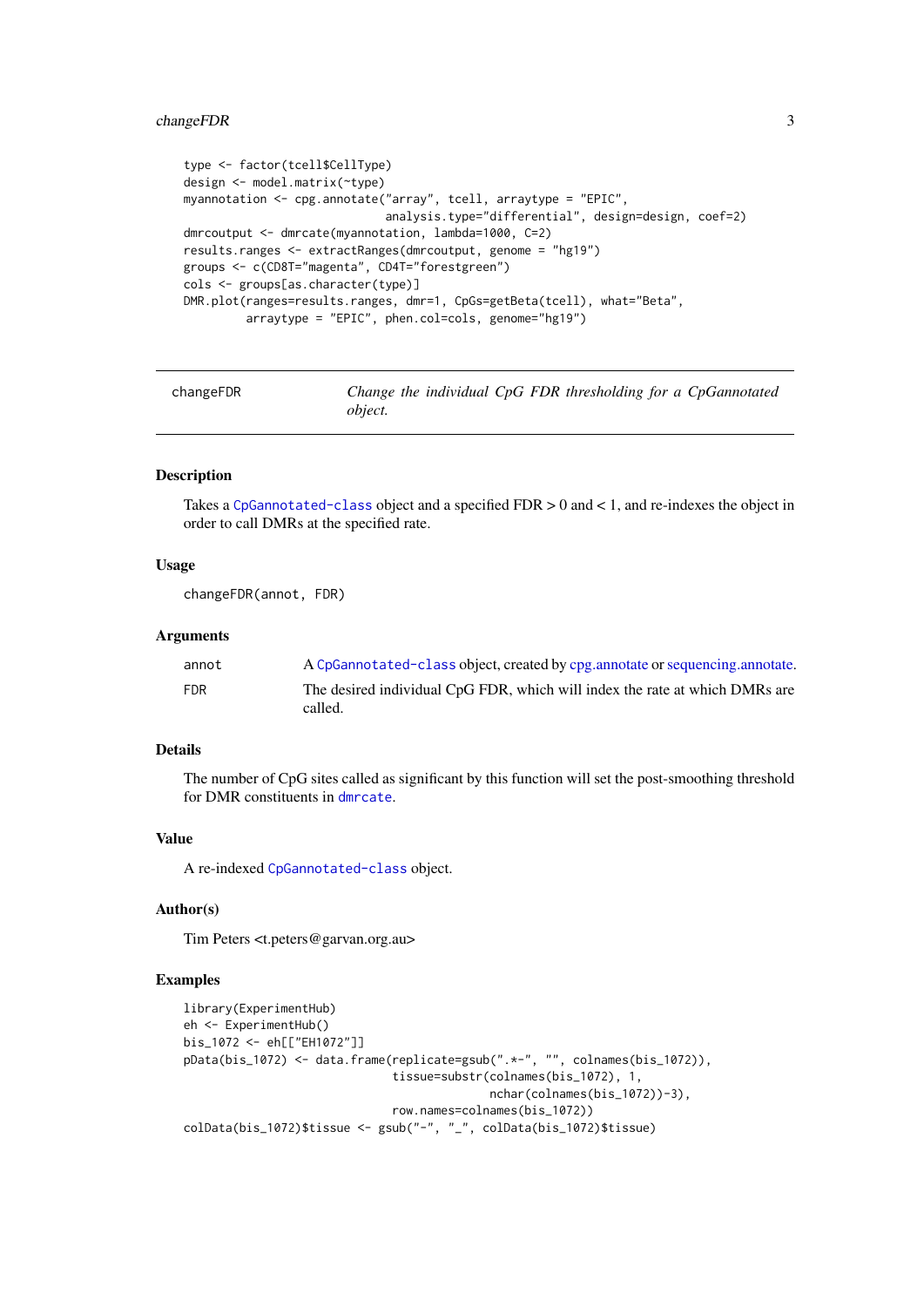#### <span id="page-2-0"></span>changeFDR 3

```
type <- factor(tcell$CellType)
design <- model.matrix(~type)
myannotation <- cpg.annotate("array", tcell, arraytype = "EPIC",
                             analysis.type="differential", design=design, coef=2)
dmrcoutput <- dmrcate(myannotation, lambda=1000, C=2)
results.ranges <- extractRanges(dmrcoutput, genome = "hg19")
groups <- c(CD8T="magenta", CD4T="forestgreen")
cols <- groups[as.character(type)]
DMR.plot(ranges=results.ranges, dmr=1, CpGs=getBeta(tcell), what="Beta",
         arraytype = "EPIC", phen.col=cols, genome="hg19")
```
<span id="page-2-1"></span>changeFDR *Change the individual CpG FDR thresholding for a CpGannotated object.*

#### Description

Takes a [CpGannotated-class](#page-5-1) object and a specified  $FDR > 0$  and  $< 1$ , and re-indexes the object in order to call DMRs at the specified rate.

#### Usage

```
changeFDR(annot, FDR)
```
#### Arguments

| annot      | A CpGannotated-class object, created by cpg.annotate or sequencing.annotate.           |
|------------|----------------------------------------------------------------------------------------|
| <b>FDR</b> | The desired individual CpG FDR, which will index the rate at which DMRs are<br>called. |

#### Details

The number of CpG sites called as significant by this function will set the post-smoothing threshold for DMR constituents in [dmrcate](#page-7-1).

#### Value

A re-indexed [CpGannotated-class](#page-5-1) object.

#### Author(s)

Tim Peters <t.peters@garvan.org.au>

```
library(ExperimentHub)
eh <- ExperimentHub()
bis_1072 <- eh[["EH1072"]]
pData(bis_1072) <- data.frame(replicate=gsub(".*-", "", colnames(bis_1072)),
                              tissue=substr(colnames(bis_1072), 1,
                                            nchar(colnames(bis_1072))-3),
                              row.names=colnames(bis_1072))
colData(bis_1072)$tissue <- gsub("-", "_", colData(bis_1072)$tissue)
```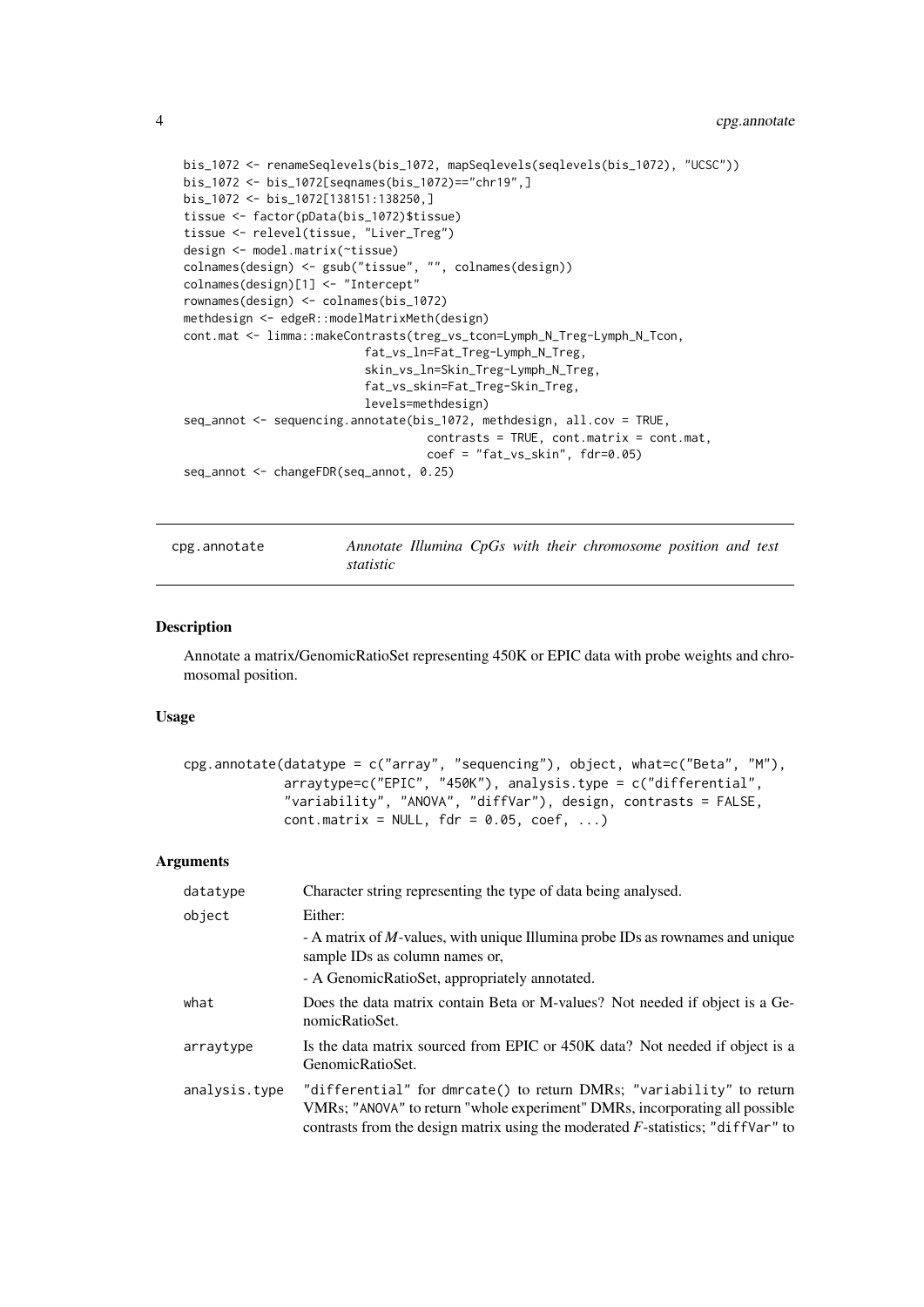```
bis_1072 <- renameSeqlevels(bis_1072, mapSeqlevels(seqlevels(bis_1072), "UCSC"))
bis_1072 <- bis_1072[seqnames(bis_1072)=="chr19",]
bis_1072 <- bis_1072[138151:138250,]
tissue <- factor(pData(bis_1072)$tissue)
tissue <- relevel(tissue, "Liver_Treg")
design <- model.matrix(~tissue)
colnames(design) <- gsub("tissue", "", colnames(design))
colnames(design)[1] <- "Intercept"
rownames(design) <- colnames(bis_1072)
methdesign <- edgeR::modelMatrixMeth(design)
cont.mat <- limma::makeContrasts(treg_vs_tcon=Lymph_N_Treg-Lymph_N_Tcon,
                          fat_vs_ln=Fat_Treg-Lymph_N_Treg,
                          skin_vs_ln=Skin_Treg-Lymph_N_Treg,
                          fat_vs_skin=Fat_Treg-Skin_Treg,
                          levels=methdesign)
seq_annot <- sequencing.annotate(bis_1072, methdesign, all.cov = TRUE,
                                   contrasts = TRUE, cont.matrix = cont.mat,
                                   coef = "fat_vs_skin", fdr=0.05)
seq_annot <- changeFDR(seq_annot, 0.25)
```
<span id="page-3-1"></span>cpg.annotate *Annotate Illumina CpGs with their chromosome position and test statistic*

#### Description

Annotate a matrix/GenomicRatioSet representing 450K or EPIC data with probe weights and chromosomal position.

#### Usage

```
cpg.annotate(datatype = c("array", "sequencing"), object, what=c("Beta", "M"),
             arraytype=c("EPIC", "450K"), analysis.type = c("differential",
             "variability", "ANOVA", "diffVar"), design, contrasts = FALSE,
             cont.matrix = NULL, for = 0.05, coef, ...)
```
#### Arguments

| datatype      | Character string representing the type of data being analysed.                                                                                                                                                                            |
|---------------|-------------------------------------------------------------------------------------------------------------------------------------------------------------------------------------------------------------------------------------------|
| object        | Either:                                                                                                                                                                                                                                   |
|               | - A matrix of <i>M</i> -values, with unique Illumina probe IDs as rownames and unique<br>sample IDs as column names or,                                                                                                                   |
|               | - A GenomicRatioSet, appropriately annotated.                                                                                                                                                                                             |
| what          | Does the data matrix contain Beta or M-values? Not needed if object is a Ge-<br>nomicRatioSet.                                                                                                                                            |
| arraytype     | Is the data matrix sourced from EPIC or 450K data? Not needed if object is a<br>GenomicRatioSet.                                                                                                                                          |
| analysis.type | "differential" for dmrcate() to return DMRs; "variability" to return<br>VMRs; "ANOVA" to return "whole experiment" DMRs, incorporating all possible<br>contrasts from the design matrix using the moderated $F$ -statistics; "diffvar" to |

<span id="page-3-0"></span>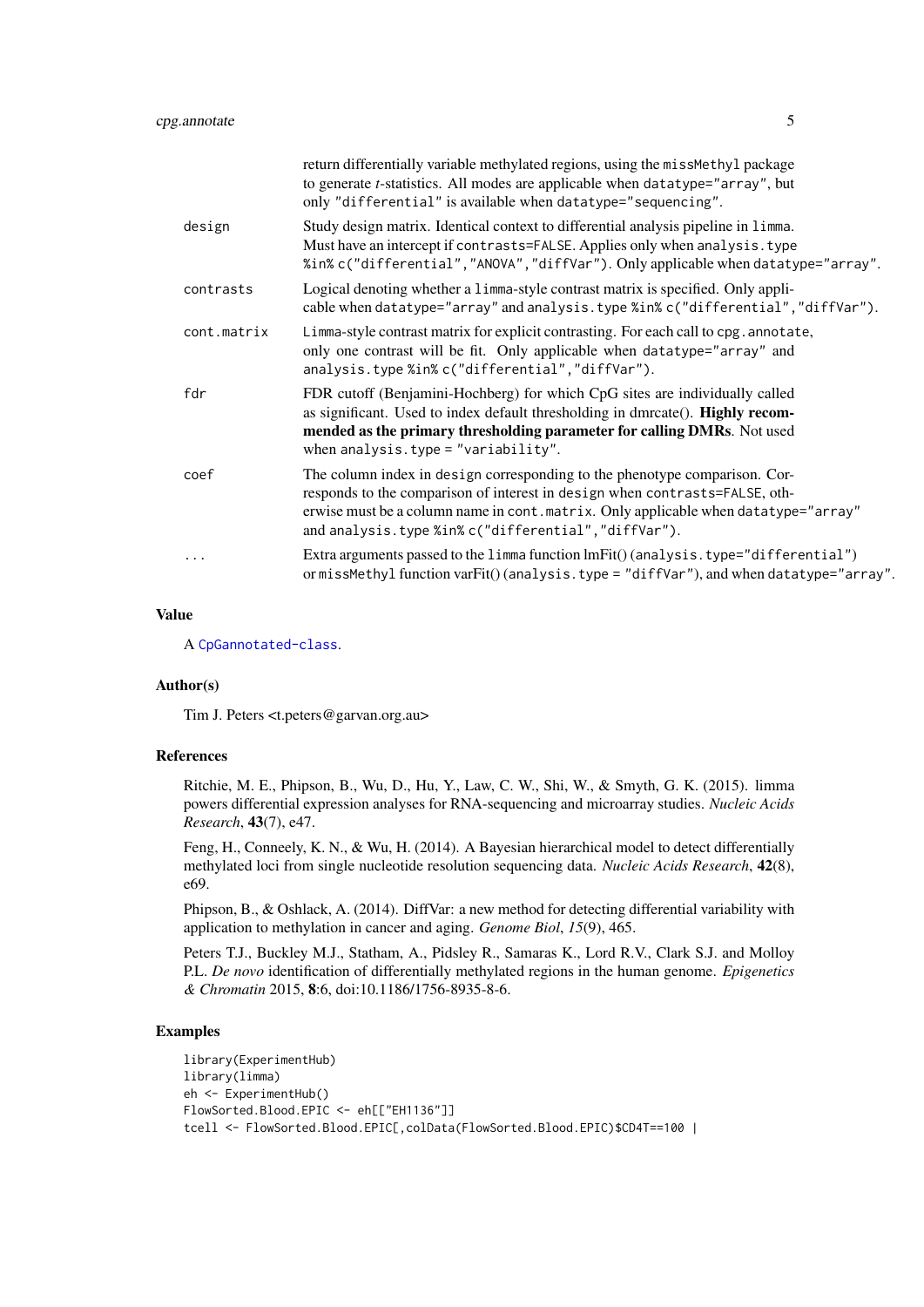|             | return differentially variable methylated regions, using the missMethyl package<br>to generate <i>t</i> -statistics. All modes are applicable when datatype="array", but<br>only "differential" is available when datatype="sequencing".                                                               |
|-------------|--------------------------------------------------------------------------------------------------------------------------------------------------------------------------------------------------------------------------------------------------------------------------------------------------------|
| design      | Study design matrix. Identical context to differential analysis pipeline in limma.<br>Must have an intercept if contrasts=FALSE. Applies only when analysis. type<br>%in%c("differential","ANOVA","diffVar"). Only applicable when datatype="array".                                                   |
| contrasts   | Logical denoting whether a 1imma-style contrast matrix is specified. Only appli-<br>cable when datatype="array" and analysis.type %in% c("differential", "diffVar").                                                                                                                                   |
| cont.matrix | Limma-style contrast matrix for explicit contrasting. For each call to cpg. annotate,<br>only one contrast will be fit. Only applicable when datatype="array" and<br>analysis.type %in%c("differential","diffVar").                                                                                    |
| fdr         | FDR cutoff (Benjamini-Hochberg) for which CpG sites are individually called<br>as significant. Used to index default thresholding in dmrcate(). Highly recom-<br>mended as the primary thresholding parameter for calling DMRs. Not used<br>when analysis.type = "variability".                        |
| coef        | The column index in design corresponding to the phenotype comparison. Cor-<br>responds to the comparison of interest in design when contrasts=FALSE, oth-<br>erwise must be a column name in cont. matrix. Only applicable when datatype="array"<br>and analysis.type %in%c("differential","diffVar"). |
|             | Extra arguments passed to the limma function lmFit() (analysis.type="differential")<br>or missMethyl function varFit() (analysis.type = "diffVar"), and when datatype="array".                                                                                                                         |

#### Value

A [CpGannotated-class](#page-5-1).

#### Author(s)

Tim J. Peters <t.peters@garvan.org.au>

#### References

Ritchie, M. E., Phipson, B., Wu, D., Hu, Y., Law, C. W., Shi, W., & Smyth, G. K. (2015). limma powers differential expression analyses for RNA-sequencing and microarray studies. *Nucleic Acids Research*, 43(7), e47.

Feng, H., Conneely, K. N., & Wu, H. (2014). A Bayesian hierarchical model to detect differentially methylated loci from single nucleotide resolution sequencing data. *Nucleic Acids Research*, 42(8), e69.

Phipson, B., & Oshlack, A. (2014). DiffVar: a new method for detecting differential variability with application to methylation in cancer and aging. *Genome Biol*, *15*(9), 465.

Peters T.J., Buckley M.J., Statham, A., Pidsley R., Samaras K., Lord R.V., Clark S.J. and Molloy P.L. *De novo* identification of differentially methylated regions in the human genome. *Epigenetics & Chromatin* 2015, 8:6, doi:10.1186/1756-8935-8-6.

```
library(ExperimentHub)
library(limma)
eh <- ExperimentHub()
FlowSorted.Blood.EPIC <- eh[["EH1136"]]
tcell <- FlowSorted.Blood.EPIC[,colData(FlowSorted.Blood.EPIC)$CD4T==100 |
```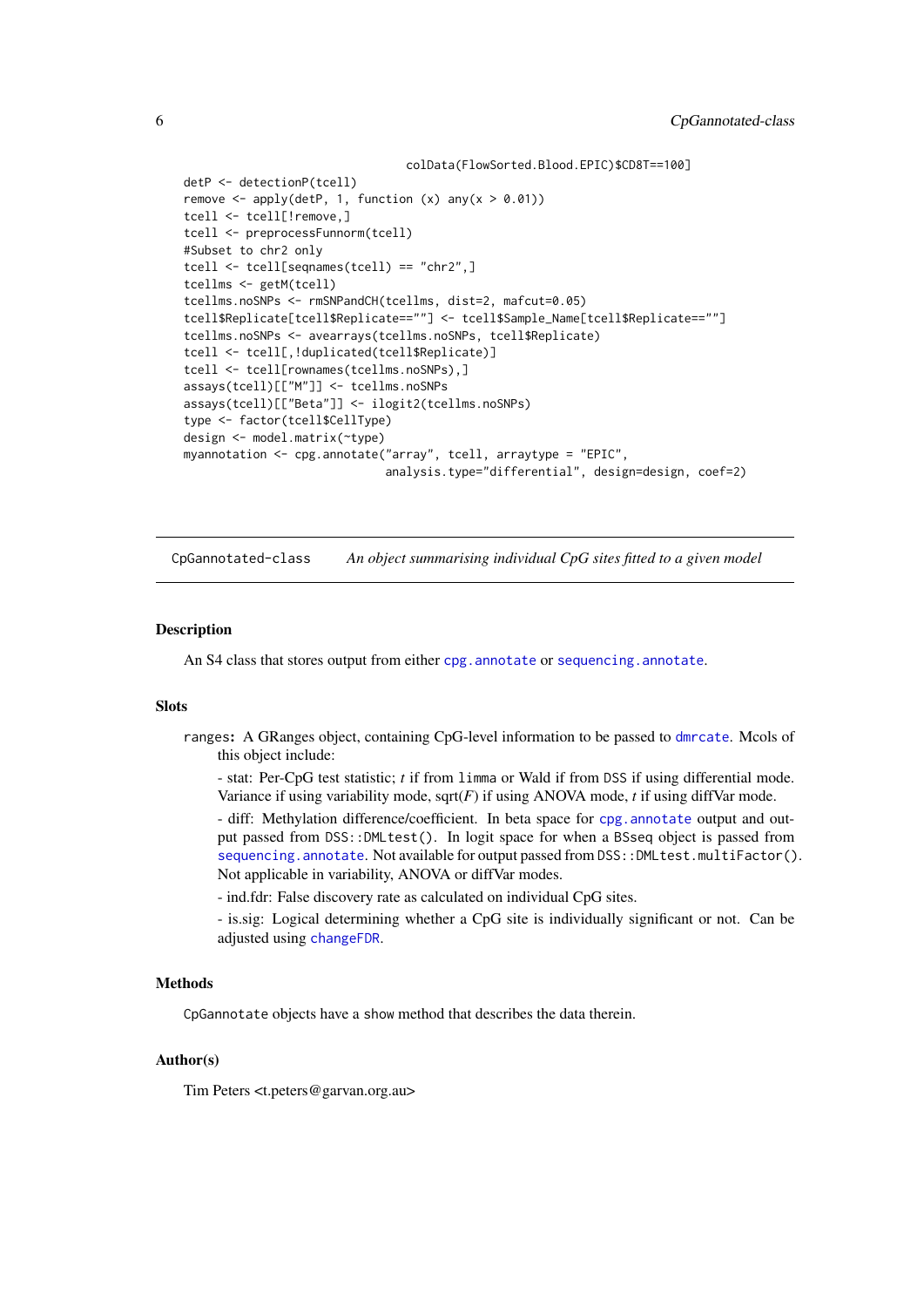```
colData(FlowSorted.Blood.EPIC)$CD8T==100]
detP <- detectionP(tcell)
remove \leq apply(detP, 1, function (x) any(x > 0.01))
tcell <- tcell[!remove,]
tcell <- preprocessFunnorm(tcell)
#Subset to chr2 only
tcell <- tcell[seqnames(tcell) == "chr2",]
tcellms <- getM(tcell)
tcellms.noSNPs <- rmSNPandCH(tcellms, dist=2, mafcut=0.05)
tcell$Replicate[tcell$Replicate==""] <- tcell$Sample_Name[tcell$Replicate==""]
tcellms.noSNPs <- avearrays(tcellms.noSNPs, tcell$Replicate)
tcell <- tcell[,!duplicated(tcell$Replicate)]
tcell <- tcell[rownames(tcellms.noSNPs),]
assays(tcell)[["M"]] <- tcellms.noSNPs
assays(tcell)[["Beta"]] <- ilogit2(tcellms.noSNPs)
type <- factor(tcell$CellType)
design <- model.matrix(~type)
myannotation <- cpg.annotate("array", tcell, arraytype = "EPIC",
                             analysis.type="differential", design=design, coef=2)
```
<span id="page-5-1"></span>CpGannotated-class *An object summarising individual CpG sites fitted to a given model*

#### Description

An S4 class that stores output from either [cpg.annotate](#page-3-1) or [sequencing.annotate](#page-12-1).

#### Slots

ranges: A GRanges object, containing CpG-level information to be passed to [dmrcate](#page-7-1). Mcols of this object include:

- stat: Per-CpG test statistic; *t* if from limma or Wald if from DSS if using differential mode. Variance if using variability mode,  $sqrt(F)$  if using ANOVA mode, *t* if using diffVar mode.

- diff: Methylation difference/coefficient. In beta space for [cpg.annotate](#page-3-1) output and output passed from DSS::DMLtest(). In logit space for when a BSseq object is passed from [sequencing.annotate](#page-12-1). Not available for output passed from DSS:: DMLtest.multiFactor(). Not applicable in variability, ANOVA or diffVar modes.

- ind.fdr: False discovery rate as calculated on individual CpG sites.

- is.sig: Logical determining whether a CpG site is individually significant or not. Can be adjusted using [changeFDR](#page-2-1).

#### **Methods**

CpGannotate objects have a show method that describes the data therein.

#### Author(s)

Tim Peters <t.peters@garvan.org.au>

<span id="page-5-0"></span>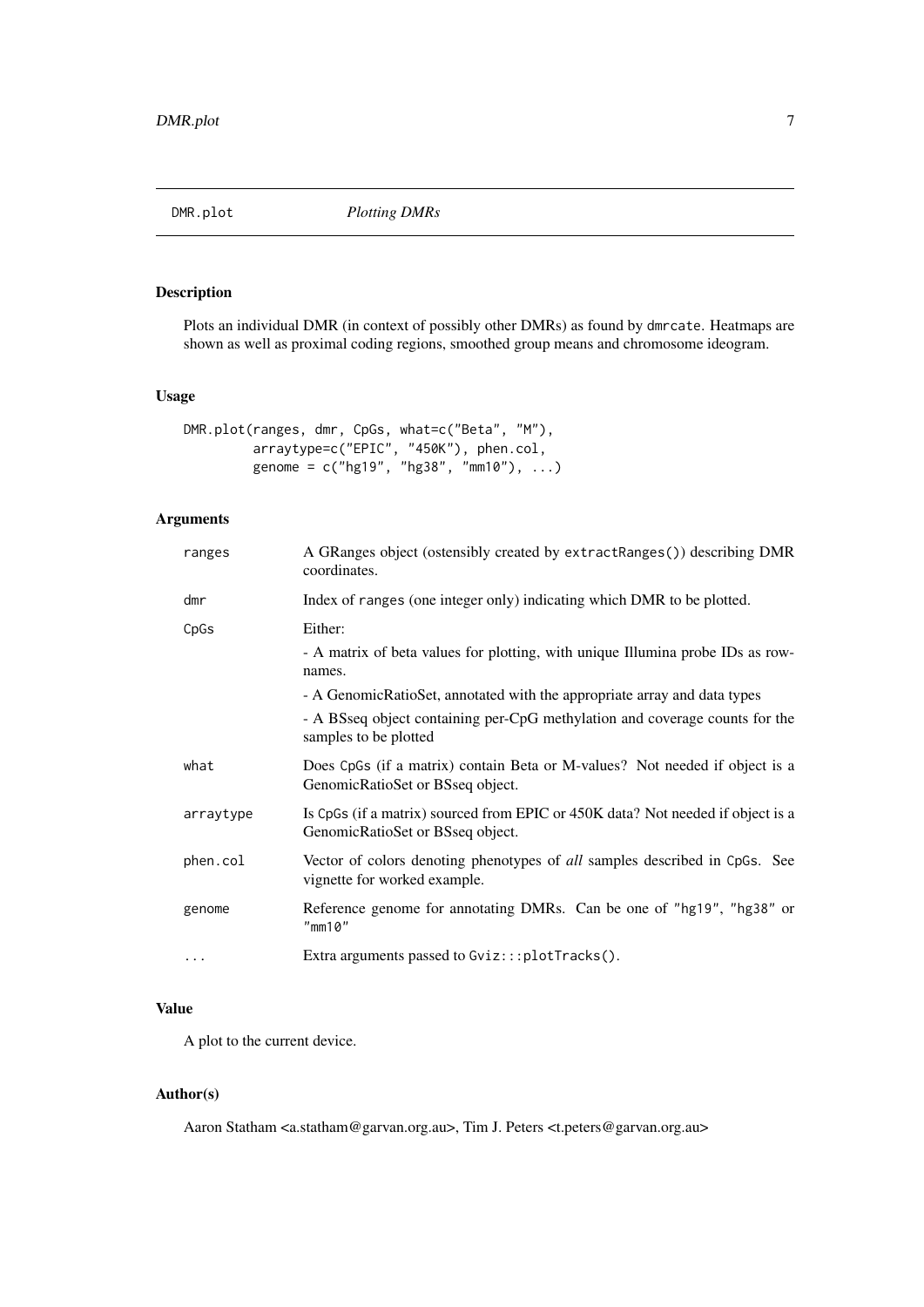<span id="page-6-0"></span>

#### Description

Plots an individual DMR (in context of possibly other DMRs) as found by dmrcate. Heatmaps are shown as well as proximal coding regions, smoothed group means and chromosome ideogram.

#### Usage

```
DMR.plot(ranges, dmr, CpGs, what=c("Beta", "M"),
         arraytype=c("EPIC", "450K"), phen.col,
         genome = c("hg19", "hg38", "mm10"), ...)
```
### Arguments

| ranges    | A GRanges object (ostensibly created by extractRanges()) describing DMR<br>coordinates.                                                                                                    |
|-----------|--------------------------------------------------------------------------------------------------------------------------------------------------------------------------------------------|
| dmr       | Index of ranges (one integer only) indicating which DMR to be plotted.                                                                                                                     |
| CpGs      | Either:<br>- A matrix of beta values for plotting, with unique Illumina probe IDs as row-                                                                                                  |
|           | names.<br>- A GenomicRatioSet, annotated with the appropriate array and data types<br>- A BSseq object containing per-CpG methylation and coverage counts for the<br>samples to be plotted |
| what      | Does CpGs (if a matrix) contain Beta or M-values? Not needed if object is a<br>GenomicRatioSet or BSseq object.                                                                            |
| arraytype | Is CpGs (if a matrix) sourced from EPIC or 450K data? Not needed if object is a<br>GenomicRatioSet or BSseq object.                                                                        |
| phen.col  | Vector of colors denoting phenotypes of <i>all</i> samples described in CpGs. See<br>vignette for worked example.                                                                          |
| genome    | Reference genome for annotating DMRs. Can be one of "hg19", "hg38" or<br>"mm10"                                                                                                            |
| $\cdots$  | Extra arguments passed to Gviz:::plotTracks().                                                                                                                                             |

#### Value

A plot to the current device.

#### Author(s)

Aaron Statham <a.statham@garvan.org.au>, Tim J. Peters <t.peters@garvan.org.au>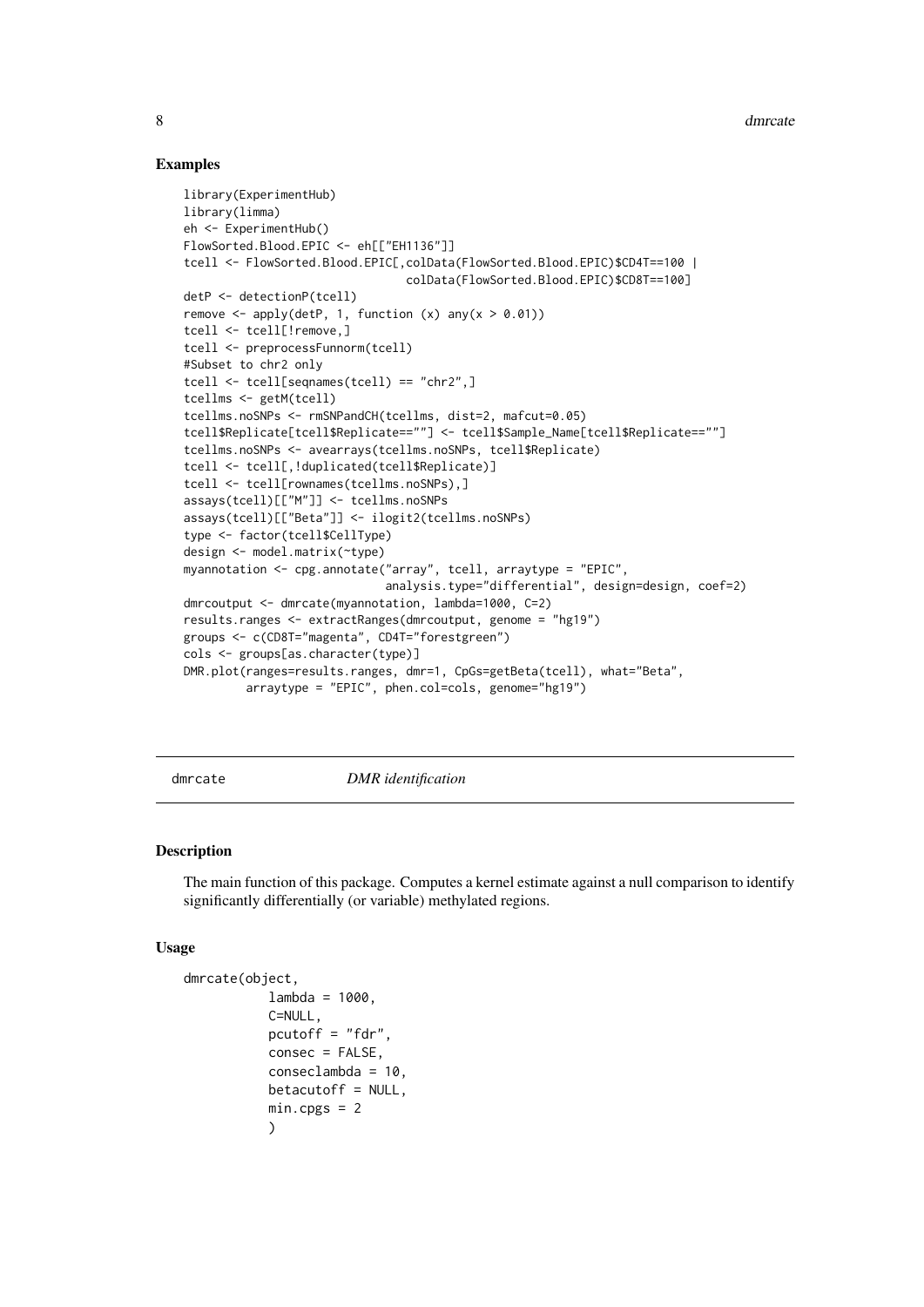#### Examples

```
library(ExperimentHub)
library(limma)
eh <- ExperimentHub()
FlowSorted.Blood.EPIC <- eh[["EH1136"]]
tcell <- FlowSorted.Blood.EPIC[,colData(FlowSorted.Blood.EPIC)$CD4T==100 |
                                colData(FlowSorted.Blood.EPIC)$CD8T==100]
detP <- detectionP(tcell)
remove \leq apply(detP, 1, function (x) any(x > 0.01))
tcell <- tcell[!remove,]
tcell <- preprocessFunnorm(tcell)
#Subset to chr2 only
tcell <- tcell[seqnames(tcell) == "chr2",]
tcellms <- getM(tcell)
tcellms.noSNPs <- rmSNPandCH(tcellms, dist=2, mafcut=0.05)
tcell$Replicate[tcell$Replicate==""] <- tcell$Sample_Name[tcell$Replicate==""]
tcellms.noSNPs <- avearrays(tcellms.noSNPs, tcell$Replicate)
tcell <- tcell[,!duplicated(tcell$Replicate)]
tcell <- tcell[rownames(tcellms.noSNPs),]
assays(tcell)[["M"]] <- tcellms.noSNPs
assays(tcell)[["Beta"]] <- ilogit2(tcellms.noSNPs)
type <- factor(tcell$CellType)
design <- model.matrix(~type)
myannotation <- cpg.annotate("array", tcell, arraytype = "EPIC",
                             analysis.type="differential", design=design, coef=2)
dmrcoutput <- dmrcate(myannotation, lambda=1000, C=2)
results.ranges <- extractRanges(dmrcoutput, genome = "hg19")
groups <- c(CD8T="magenta", CD4T="forestgreen")
cols <- groups[as.character(type)]
DMR.plot(ranges=results.ranges, dmr=1, CpGs=getBeta(tcell), what="Beta",
         arraytype = "EPIC", phen.col=cols, genome="hg19")
```
<span id="page-7-1"></span>

#### dmrcate *DMR identification*

#### Description

The main function of this package. Computes a kernel estimate against a null comparison to identify significantly differentially (or variable) methylated regions.

#### Usage

```
dmrcate(object,
           lambda = 1000.
           C=NULL,
           pcutoff = "fdr",
           consec = FALSE,
           conseclambda = 10,
           betacutoff = NULL,
           min.cpgs = 2)
```
<span id="page-7-0"></span>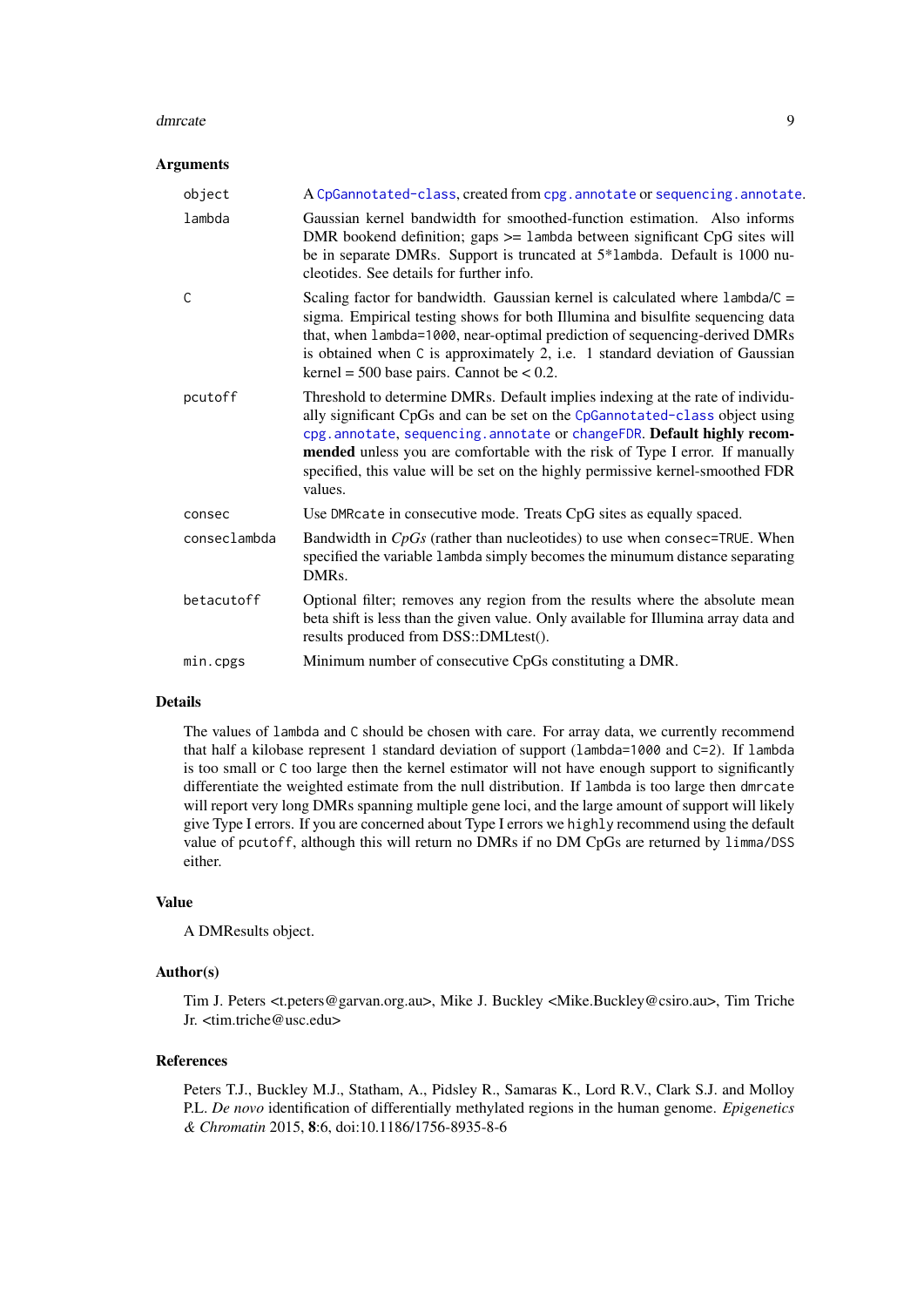#### <span id="page-8-0"></span>dmrcate 9

#### Arguments

| object       | A CpGannotated-class, created from cpg. annotate or sequencing. annotate.                                                                                                                                                                                                                                                                                                                                             |
|--------------|-----------------------------------------------------------------------------------------------------------------------------------------------------------------------------------------------------------------------------------------------------------------------------------------------------------------------------------------------------------------------------------------------------------------------|
| lambda       | Gaussian kernel bandwidth for smoothed-function estimation. Also informs<br>DMR bookend definition; gaps $>=$ 1 ambda between significant CpG sites will<br>be in separate DMRs. Support is truncated at 5*1ambda. Default is 1000 nu-<br>cleotides. See details for further info.                                                                                                                                    |
| $\mathsf{C}$ | Scaling factor for bandwidth. Gaussian kernel is calculated where $l$ ambda/ $C =$<br>sigma. Empirical testing shows for both Illumina and bisulfite sequencing data<br>that, when lambda=1000, near-optimal prediction of sequencing-derived DMRs<br>is obtained when C is approximately 2, i.e. 1 standard deviation of Gaussian<br>kernel = $500$ base pairs. Cannot be < 0.2.                                     |
| pcutoff      | Threshold to determine DMRs. Default implies indexing at the rate of individu-<br>ally significant CpGs and can be set on the CpGannotated-class object using<br>cpg. annotate, sequencing. annotate or changeFDR. Default highly recom-<br>mended unless you are comfortable with the risk of Type I error. If manually<br>specified, this value will be set on the highly permissive kernel-smoothed FDR<br>values. |
| consec       | Use DMRcate in consecutive mode. Treats CpG sites as equally spaced.                                                                                                                                                                                                                                                                                                                                                  |
| conseclambda | Bandwidth in $CpGs$ (rather than nucleotides) to use when consec=TRUE. When<br>specified the variable 1ambda simply becomes the minumum distance separating<br>DMR <sub>s</sub> .                                                                                                                                                                                                                                     |
| betacutoff   | Optional filter; removes any region from the results where the absolute mean<br>beta shift is less than the given value. Only available for Illumina array data and<br>results produced from DSS::DMLtest().                                                                                                                                                                                                          |
| min.cpgs     | Minimum number of consecutive CpGs constituting a DMR.                                                                                                                                                                                                                                                                                                                                                                |

#### Details

The values of lambda and C should be chosen with care. For array data, we currently recommend that half a kilobase represent 1 standard deviation of support (lambda=1000 and C=2). If lambda is too small or C too large then the kernel estimator will not have enough support to significantly differentiate the weighted estimate from the null distribution. If lambda is too large then dmrcate will report very long DMRs spanning multiple gene loci, and the large amount of support will likely give Type I errors. If you are concerned about Type I errors we highly recommend using the default value of pcutoff, although this will return no DMRs if no DM CpGs are returned by limma/DSS either.

#### Value

A DMResults object.

#### Author(s)

Tim J. Peters <t.peters@garvan.org.au>, Mike J. Buckley <Mike.Buckley@csiro.au>, Tim Triche Jr. <tim.triche@usc.edu>

#### References

Peters T.J., Buckley M.J., Statham, A., Pidsley R., Samaras K., Lord R.V., Clark S.J. and Molloy P.L. *De novo* identification of differentially methylated regions in the human genome. *Epigenetics & Chromatin* 2015, 8:6, doi:10.1186/1756-8935-8-6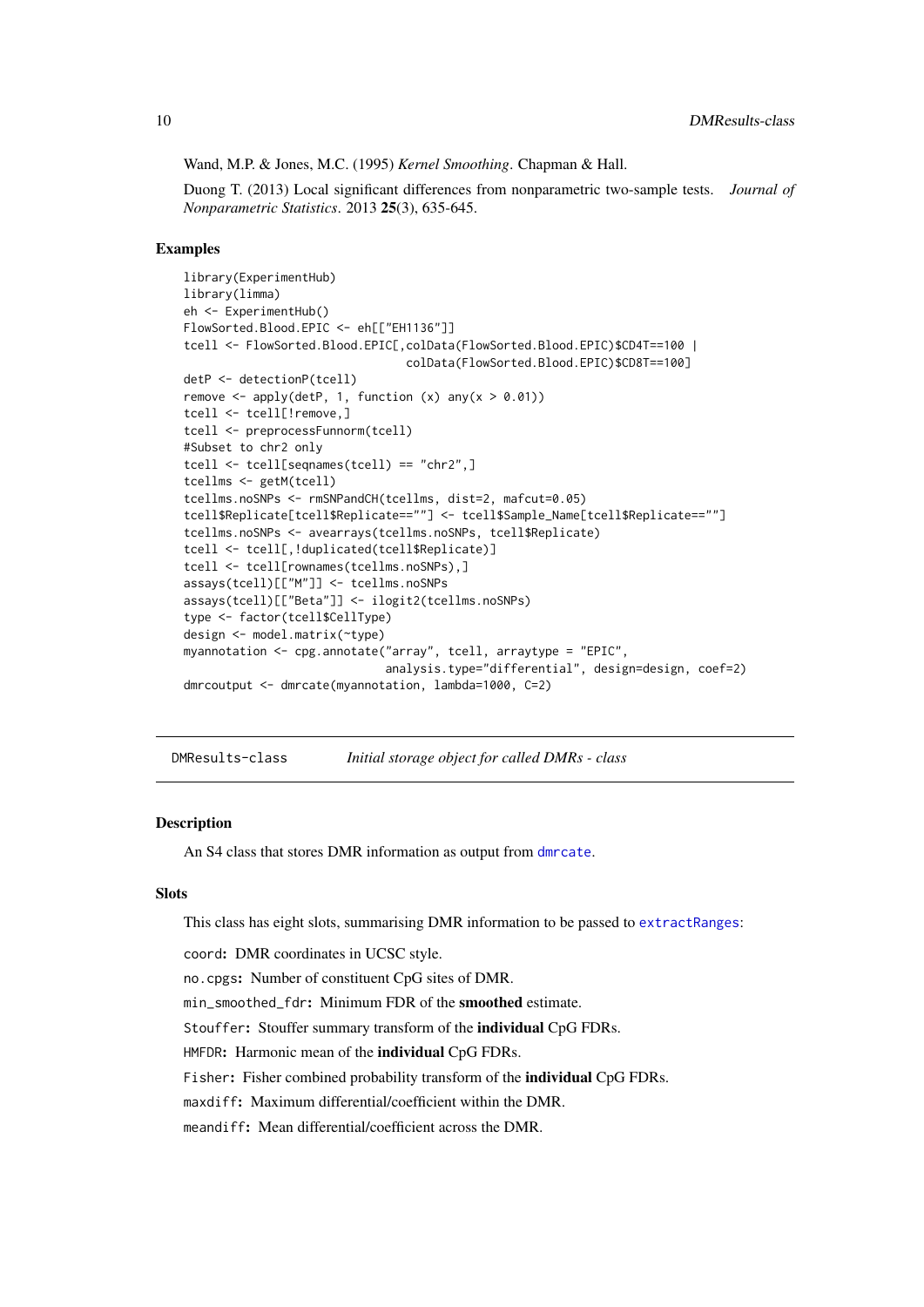<span id="page-9-0"></span>Wand, M.P. & Jones, M.C. (1995) *Kernel Smoothing*. Chapman & Hall.

Duong T. (2013) Local significant differences from nonparametric two-sample tests. *Journal of Nonparametric Statistics*. 2013 25(3), 635-645.

#### Examples

```
library(ExperimentHub)
library(limma)
eh <- ExperimentHub()
FlowSorted.Blood.EPIC <- eh[["EH1136"]]
tcell <- FlowSorted.Blood.EPIC[,colData(FlowSorted.Blood.EPIC)$CD4T==100 |
                                colData(FlowSorted.Blood.EPIC)$CD8T==100]
detP <- detectionP(tcell)
remove \leq apply(detP, 1, function (x) any(x > 0.01))
tcell <- tcell[!remove,]
tcell <- preprocessFunnorm(tcell)
#Subset to chr2 only
tcell <- tcell[seqnames(tcell) == "chr2",]
tcellms <- getM(tcell)
tcellms.noSNPs <- rmSNPandCH(tcellms, dist=2, mafcut=0.05)
tcell$Replicate[tcell$Replicate==""] <- tcell$Sample_Name[tcell$Replicate==""]
tcellms.noSNPs <- avearrays(tcellms.noSNPs, tcell$Replicate)
tcell <- tcell[,!duplicated(tcell$Replicate)]
tcell <- tcell[rownames(tcellms.noSNPs),]
assays(tcell)[["M"]] <- tcellms.noSNPs
assays(tcell)[["Beta"]] <- ilogit2(tcellms.noSNPs)
type <- factor(tcell$CellType)
design <- model.matrix(~type)
myannotation <- cpg.annotate("array", tcell, arraytype = "EPIC",
                             analysis.type="differential", design=design, coef=2)
dmrcoutput <- dmrcate(myannotation, lambda=1000, C=2)
```
DMResults-class *Initial storage object for called DMRs - class*

#### Description

An S4 class that stores DMR information as output from [dmrcate](#page-7-1).

#### Slots

This class has eight slots, summarising DMR information to be passed to [extractRanges](#page-10-1):

coord: DMR coordinates in UCSC style.

no.cpgs: Number of constituent CpG sites of DMR.

min\_smoothed\_fdr: Minimum FDR of the smoothed estimate.

Stouffer: Stouffer summary transform of the individual CpG FDRs.

HMFDR: Harmonic mean of the individual CpG FDRs.

Fisher: Fisher combined probability transform of the *individual* CpG FDRs.

maxdiff: Maximum differential/coefficient within the DMR.

meandiff: Mean differential/coefficient across the DMR.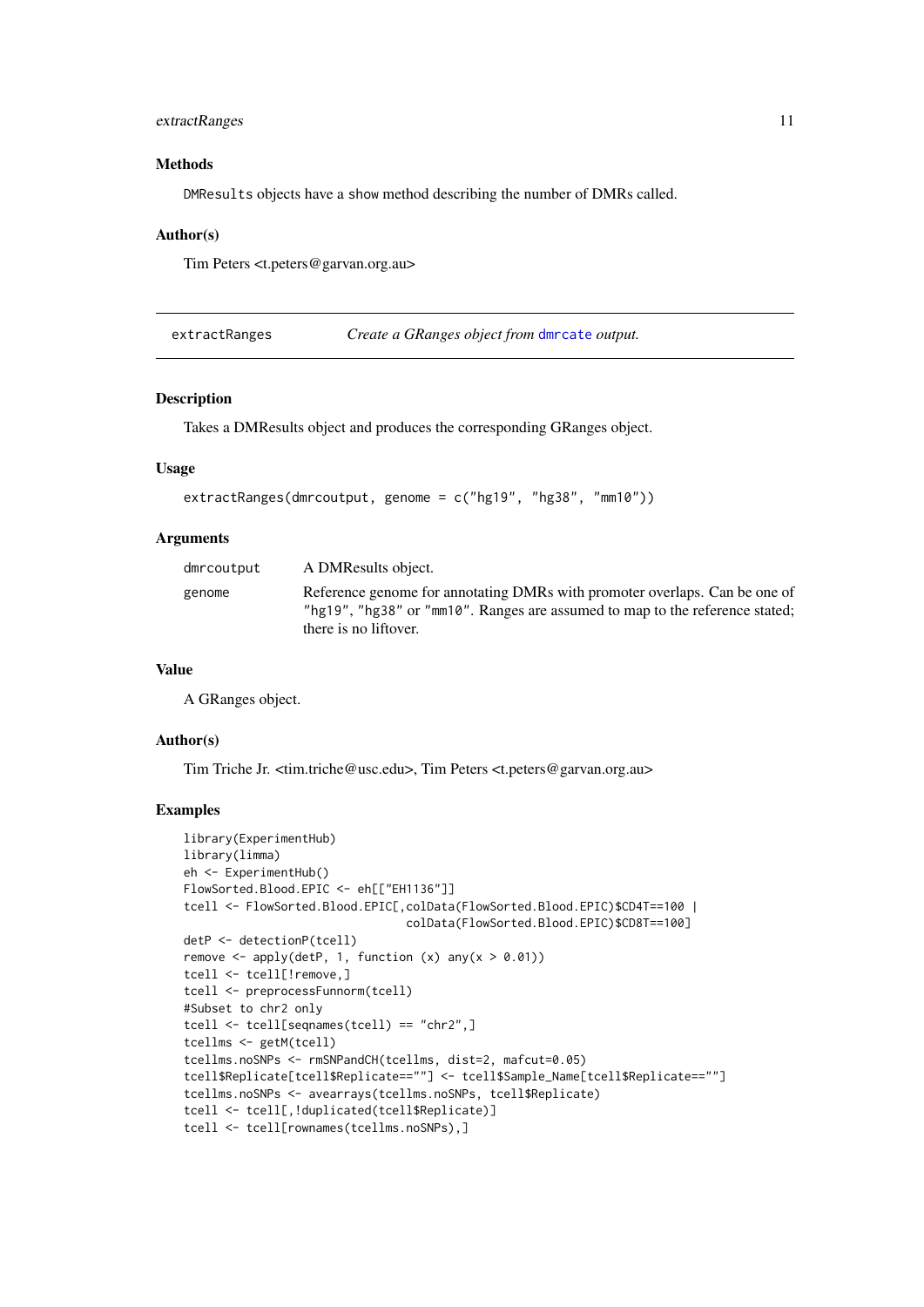#### <span id="page-10-0"></span>extractRanges 11

#### Methods

DMResults objects have a show method describing the number of DMRs called.

#### Author(s)

Tim Peters <t.peters@garvan.org.au>

<span id="page-10-1"></span>extractRanges *Create a GRanges object from* [dmrcate](#page-7-1) *output.*

#### Description

Takes a DMResults object and produces the corresponding GRanges object.

#### Usage

```
extractRanges(dmrcoutput, genome = c("hg19", "hg38", "mm10"))
```
#### Arguments

| dmrcoutput | A DMResults object.                                                                                                                                                                 |
|------------|-------------------------------------------------------------------------------------------------------------------------------------------------------------------------------------|
| genome     | Reference genome for annotating DMRs with promoter overlaps. Can be one of<br>"hg19", "hg38" or "mm10". Ranges are assumed to map to the reference stated;<br>there is no liftover. |

#### Value

A GRanges object.

#### Author(s)

Tim Triche Jr. <tim.triche@usc.edu>, Tim Peters <t.peters@garvan.org.au>

```
library(ExperimentHub)
library(limma)
eh <- ExperimentHub()
FlowSorted.Blood.EPIC <- eh[["EH1136"]]
tcell <- FlowSorted.Blood.EPIC[,colData(FlowSorted.Blood.EPIC)$CD4T==100 |
                                colData(FlowSorted.Blood.EPIC)$CD8T==100]
detP <- detectionP(tcell)
remove \leq apply(detP, 1, function (x) any(x > 0.01))
tcell <- tcell[!remove,]
tcell <- preprocessFunnorm(tcell)
#Subset to chr2 only
tcell <- tcell[seqnames(tcell) == "chr2",]
tcellms <- getM(tcell)
tcellms.noSNPs <- rmSNPandCH(tcellms, dist=2, mafcut=0.05)
tcell$Replicate[tcell$Replicate==""] <- tcell$Sample_Name[tcell$Replicate==""]
tcellms.noSNPs <- avearrays(tcellms.noSNPs, tcell$Replicate)
tcell <- tcell[,!duplicated(tcell$Replicate)]
tcell <- tcell[rownames(tcellms.noSNPs),]
```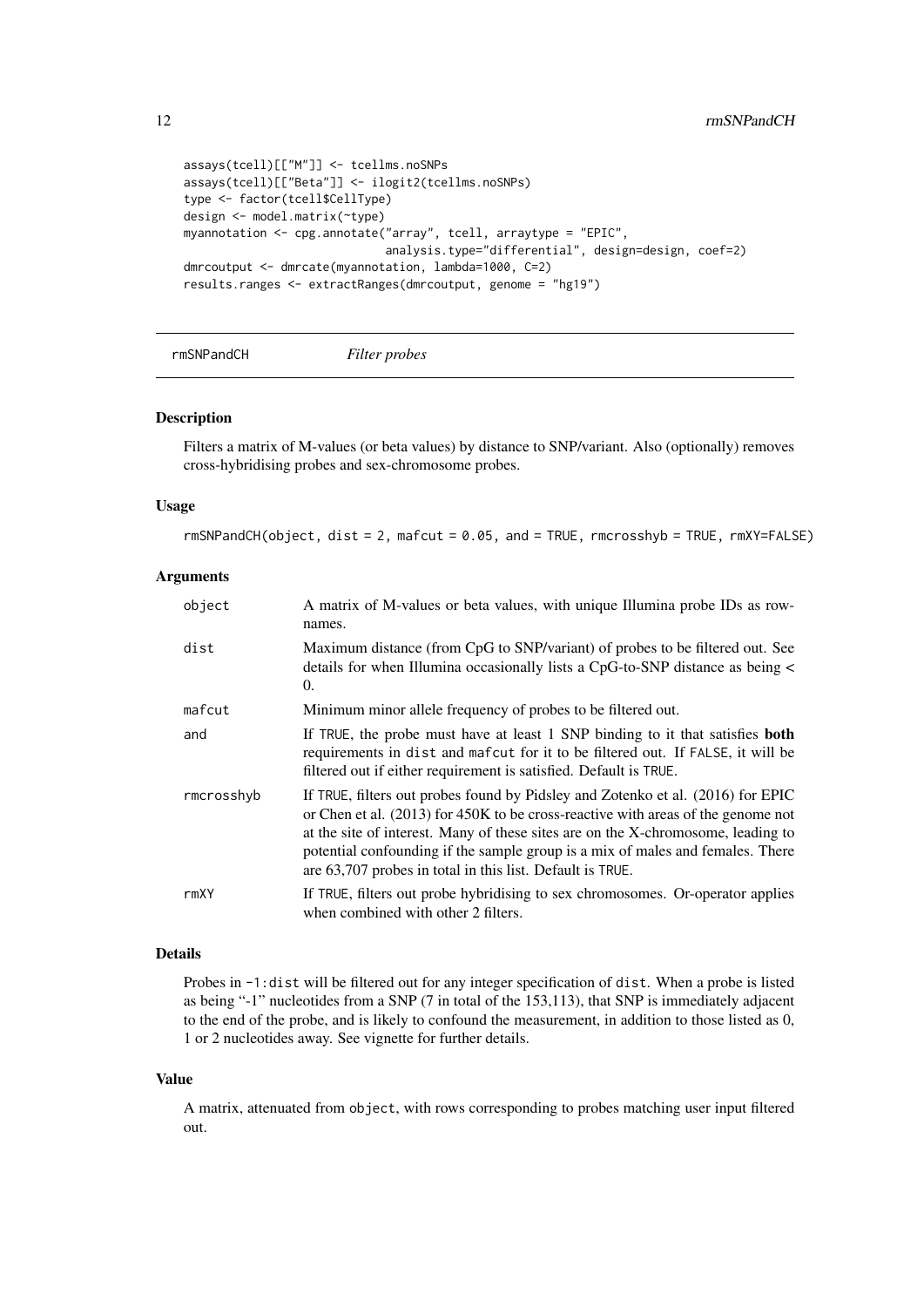```
assays(tcell)[["M"]] <- tcellms.noSNPs
assays(tcell)[["Beta"]] <- ilogit2(tcellms.noSNPs)
type <- factor(tcell$CellType)
design <- model.matrix(~type)
myannotation <- cpg.annotate("array", tcell, arraytype = "EPIC",
                             analysis.type="differential", design=design, coef=2)
dmrcoutput <- dmrcate(myannotation, lambda=1000, C=2)
results.ranges <- extractRanges(dmrcoutput, genome = "hg19")
```

```
rmSNPandCH Filter probes
```
#### Description

Filters a matrix of M-values (or beta values) by distance to SNP/variant. Also (optionally) removes cross-hybridising probes and sex-chromosome probes.

#### Usage

 $r$ mSNPandCH(object, dist = 2, mafcut = 0.05, and = TRUE,  $r$ mcrosshyb = TRUE,  $r$ mXY=FALSE)

#### Arguments

| object     | A matrix of M-values or beta values, with unique Illumina probe IDs as row-<br>names.                                                                                                                                                                                                                                                                                                                  |
|------------|--------------------------------------------------------------------------------------------------------------------------------------------------------------------------------------------------------------------------------------------------------------------------------------------------------------------------------------------------------------------------------------------------------|
| dist       | Maximum distance (from CpG to SNP/variant) of probes to be filtered out. See<br>details for when Illumina occasionally lists a CpG-to-SNP distance as being <<br>0.                                                                                                                                                                                                                                    |
| mafcut     | Minimum minor allele frequency of probes to be filtered out.                                                                                                                                                                                                                                                                                                                                           |
| and        | If TRUE, the probe must have at least 1 SNP binding to it that satisfies <b>both</b><br>requirements in dist and mafcut for it to be filtered out. If FALSE, it will be<br>filtered out if either requirement is satisfied. Default is TRUE.                                                                                                                                                           |
| rmcrosshyb | If TRUE, filters out probes found by Pidsley and Zotenko et al. (2016) for EPIC<br>or Chen et al. (2013) for 450K to be cross-reactive with areas of the genome not<br>at the site of interest. Many of these sites are on the X-chromosome, leading to<br>potential confounding if the sample group is a mix of males and females. There<br>are 63,707 probes in total in this list. Default is TRUE. |
| rmXY       | If TRUE, filters out probe hybridising to sex chromosomes. Or-operator applies<br>when combined with other 2 filters.                                                                                                                                                                                                                                                                                  |

#### Details

Probes in -1:dist will be filtered out for any integer specification of dist. When a probe is listed as being "-1" nucleotides from a SNP (7 in total of the 153,113), that SNP is immediately adjacent to the end of the probe, and is likely to confound the measurement, in addition to those listed as 0, 1 or 2 nucleotides away. See vignette for further details.

#### Value

A matrix, attenuated from object, with rows corresponding to probes matching user input filtered out.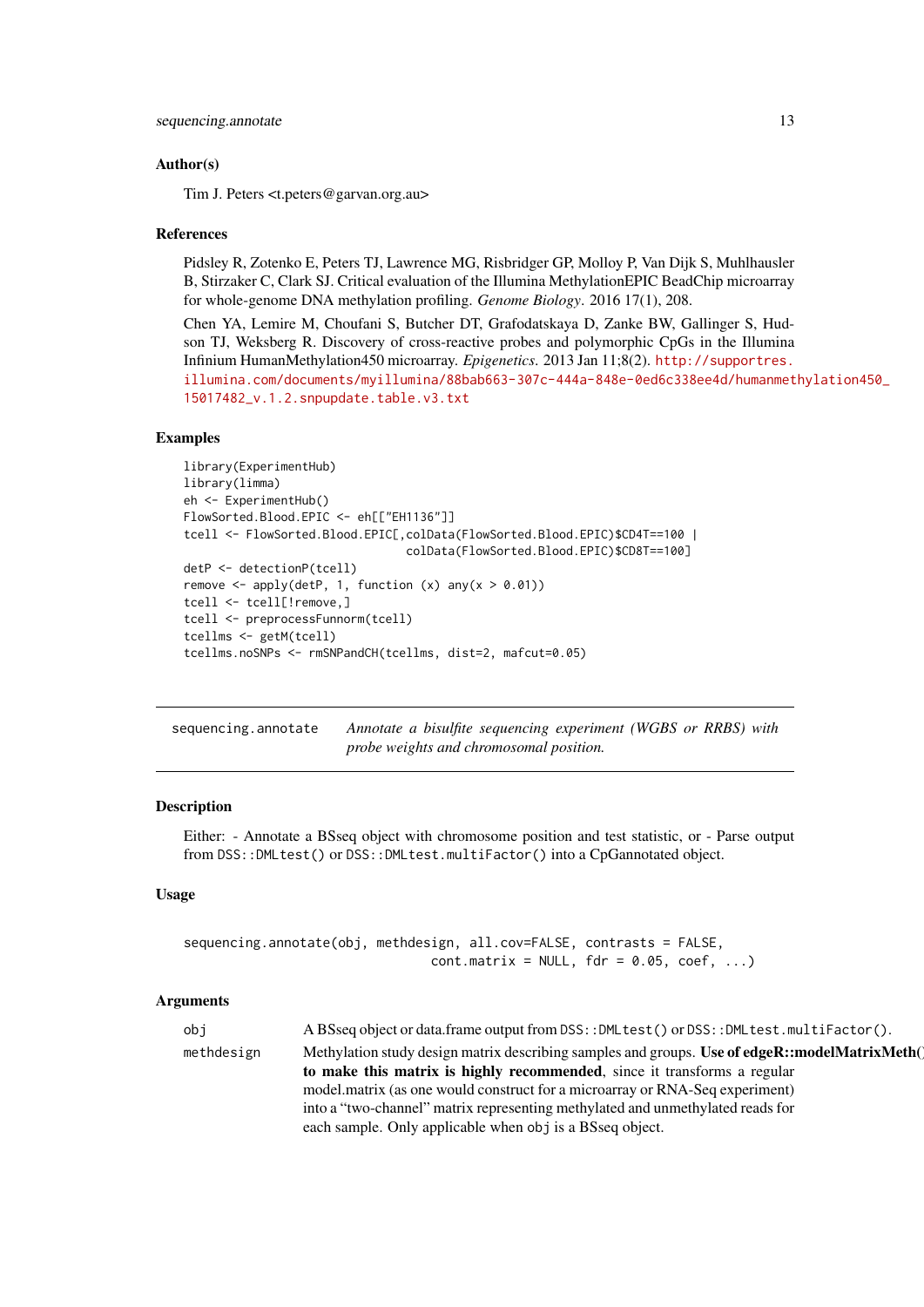#### <span id="page-12-0"></span>Author(s)

Tim J. Peters <t.peters@garvan.org.au>

#### References

Pidsley R, Zotenko E, Peters TJ, Lawrence MG, Risbridger GP, Molloy P, Van Dijk S, Muhlhausler B, Stirzaker C, Clark SJ. Critical evaluation of the Illumina MethylationEPIC BeadChip microarray for whole-genome DNA methylation profiling. *Genome Biology*. 2016 17(1), 208.

Chen YA, Lemire M, Choufani S, Butcher DT, Grafodatskaya D, Zanke BW, Gallinger S, Hudson TJ, Weksberg R. Discovery of cross-reactive probes and polymorphic CpGs in the Illumina Infinium HumanMethylation450 microarray. *Epigenetics*. 2013 Jan 11;8(2). [http://supportres.](http://supportres.illumina.com/documents/myillumina/88bab663-307c-444a-848e-0ed6c338ee4d/humanmethylation450_15017482_v.1.2.snpupdate.table.v3.txt) [illumina.com/documents/myillumina/88bab663-307c-444a-848e-0ed6c338ee4d/humanmet](http://supportres.illumina.com/documents/myillumina/88bab663-307c-444a-848e-0ed6c338ee4d/humanmethylation450_15017482_v.1.2.snpupdate.table.v3.txt)hylation450\_ [15017482\\_v.1.2.snpupdate.table.v3.txt](http://supportres.illumina.com/documents/myillumina/88bab663-307c-444a-848e-0ed6c338ee4d/humanmethylation450_15017482_v.1.2.snpupdate.table.v3.txt)

#### Examples

```
library(ExperimentHub)
library(limma)
eh <- ExperimentHub()
FlowSorted.Blood.EPIC <- eh[["EH1136"]]
tcell <- FlowSorted.Blood.EPIC[,colData(FlowSorted.Blood.EPIC)$CD4T==100 |
                                colData(FlowSorted.Blood.EPIC)$CD8T==100]
detP <- detectionP(tcell)
remove \leq apply(detP, 1, function (x) any(x > 0.01))
tcell <- tcell[!remove,]
tcell <- preprocessFunnorm(tcell)
tcellms <- getM(tcell)
tcellms.noSNPs <- rmSNPandCH(tcellms, dist=2, mafcut=0.05)
```
<span id="page-12-1"></span>sequencing.annotate *Annotate a bisulfite sequencing experiment (WGBS or RRBS) with probe weights and chromosomal position.*

#### Description

Either: - Annotate a BSseq object with chromosome position and test statistic, or - Parse output from DSS::DMLtest() or DSS::DMLtest.multiFactor() into a CpGannotated object.

#### Usage

```
sequencing.annotate(obj, methdesign, all.cov=FALSE, contrasts = FALSE,
                                cont.matrix = NULL, for = 0.05, coef, ...)
```
#### Arguments

| obi        | A BSseq object or data.frame output from DSS:: DMLtest() or DSS:: DMLtest.multiFactor().      |
|------------|-----------------------------------------------------------------------------------------------|
| methdesign | Methylation study design matrix describing samples and groups. Use of edgeR::modelMatrixMeth( |
|            | to make this matrix is highly recommended, since it transforms a regular                      |
|            | model, matrix (as one would construct for a microarray or RNA-Seq experiment)                 |
|            | into a "two-channel" matrix representing methylated and unmethylated reads for                |
|            | each sample. Only applicable when obj is a BSseq object.                                      |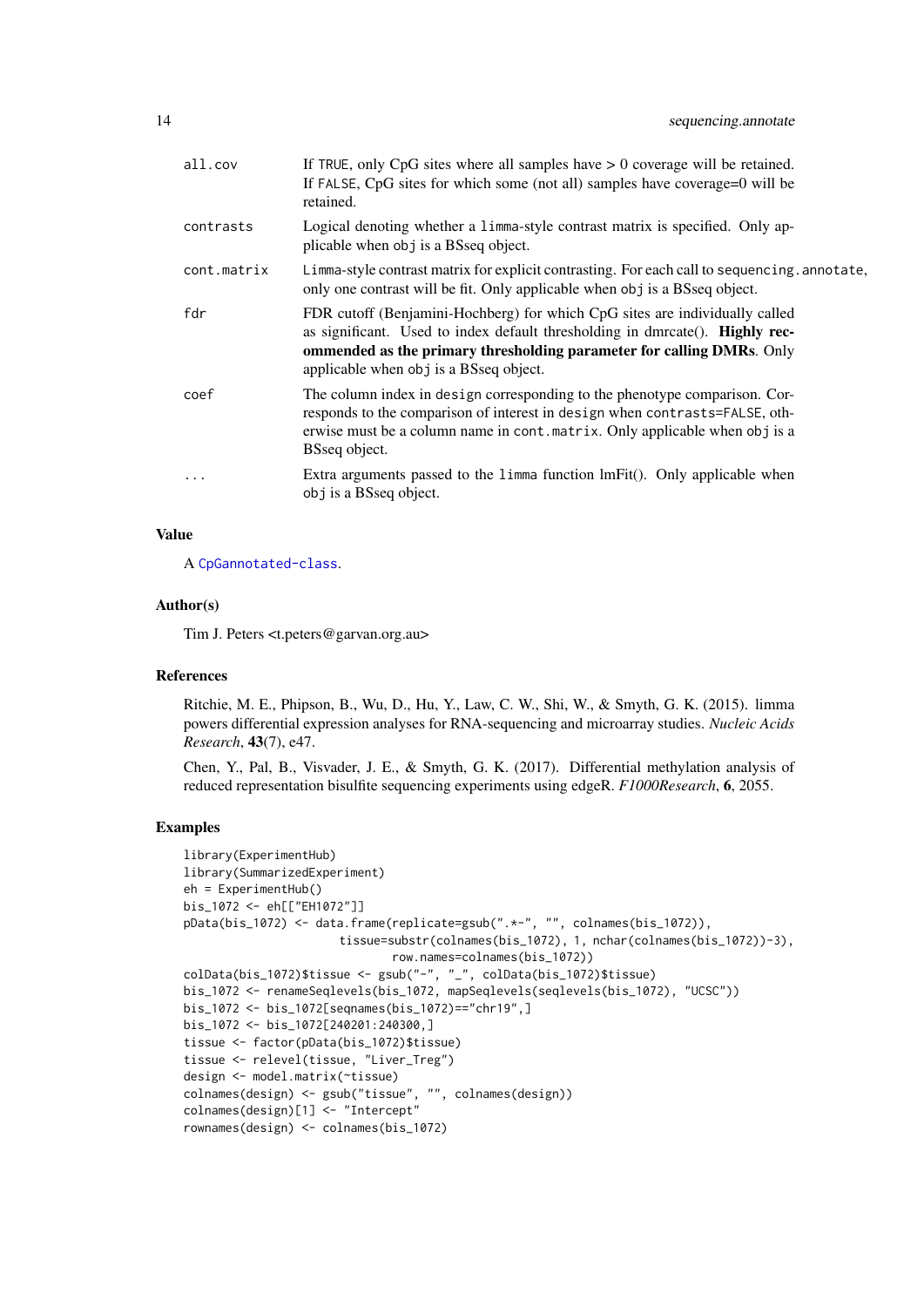| all.cov     | If TRUE, only $CpG$ sites where all samples have $> 0$ coverage will be retained.<br>If FALSE, CpG sites for which some (not all) samples have coverage=0 will be<br>retained.                                                                                                 |
|-------------|--------------------------------------------------------------------------------------------------------------------------------------------------------------------------------------------------------------------------------------------------------------------------------|
| contrasts   | Logical denoting whether a limma-style contrast matrix is specified. Only ap-<br>plicable when obj is a BSseq object.                                                                                                                                                          |
| cont.matrix | Limma-style contrast matrix for explicit contrasting. For each call to sequencing annotate,<br>only one contrast will be fit. Only applicable when obj is a BSseq object.                                                                                                      |
| fdr         | FDR cutoff (Benjamini-Hochberg) for which CpG sites are individually called<br>as significant. Used to index default thresholding in dmrcate(). Highly rec-<br>ommended as the primary thresholding parameter for calling DMRs. Only<br>applicable when obj is a BSseq object. |
| coef        | The column index in design corresponding to the phenotype comparison. Cor-<br>responds to the comparison of interest in design when contrasts=FALSE, oth-<br>erwise must be a column name in cont. matrix. Only applicable when obj is a<br>BSseq object.                      |
| $\ddotsc$   | Extra arguments passed to the limma function lmFit(). Only applicable when<br>obj is a BSseq object.                                                                                                                                                                           |
|             |                                                                                                                                                                                                                                                                                |

#### Value

A [CpGannotated-class](#page-5-1).

#### Author(s)

Tim J. Peters <t.peters@garvan.org.au>

#### References

Ritchie, M. E., Phipson, B., Wu, D., Hu, Y., Law, C. W., Shi, W., & Smyth, G. K. (2015). limma powers differential expression analyses for RNA-sequencing and microarray studies. *Nucleic Acids Research*, 43(7), e47.

Chen, Y., Pal, B., Visvader, J. E., & Smyth, G. K. (2017). Differential methylation analysis of reduced representation bisulfite sequencing experiments using edgeR. *F1000Research*, 6, 2055.

```
library(ExperimentHub)
library(SummarizedExperiment)
eh = ExperimentHub()
bis_1072 <- eh[["EH1072"]]
pData(bis_1072) <- data.frame(replicate=gsub(".*-", "", colnames(bis_1072)),
                      tissue=substr(colnames(bis_1072), 1, nchar(colnames(bis_1072))-3),
                              row.names=colnames(bis_1072))
colData(bis_1072)$tissue <- gsub("-", "_", colData(bis_1072)$tissue)
bis_1072 <- renameSeqlevels(bis_1072, mapSeqlevels(seqlevels(bis_1072), "UCSC"))
bis_1072 <- bis_1072[seqnames(bis_1072)=="chr19",]
bis_1072 <- bis_1072[240201:240300,]
tissue <- factor(pData(bis_1072)$tissue)
tissue <- relevel(tissue, "Liver_Treg")
design <- model.matrix(~tissue)
colnames(design) <- gsub("tissue", "", colnames(design))
colnames(design)[1] <- "Intercept"
rownames(design) <- colnames(bis_1072)
```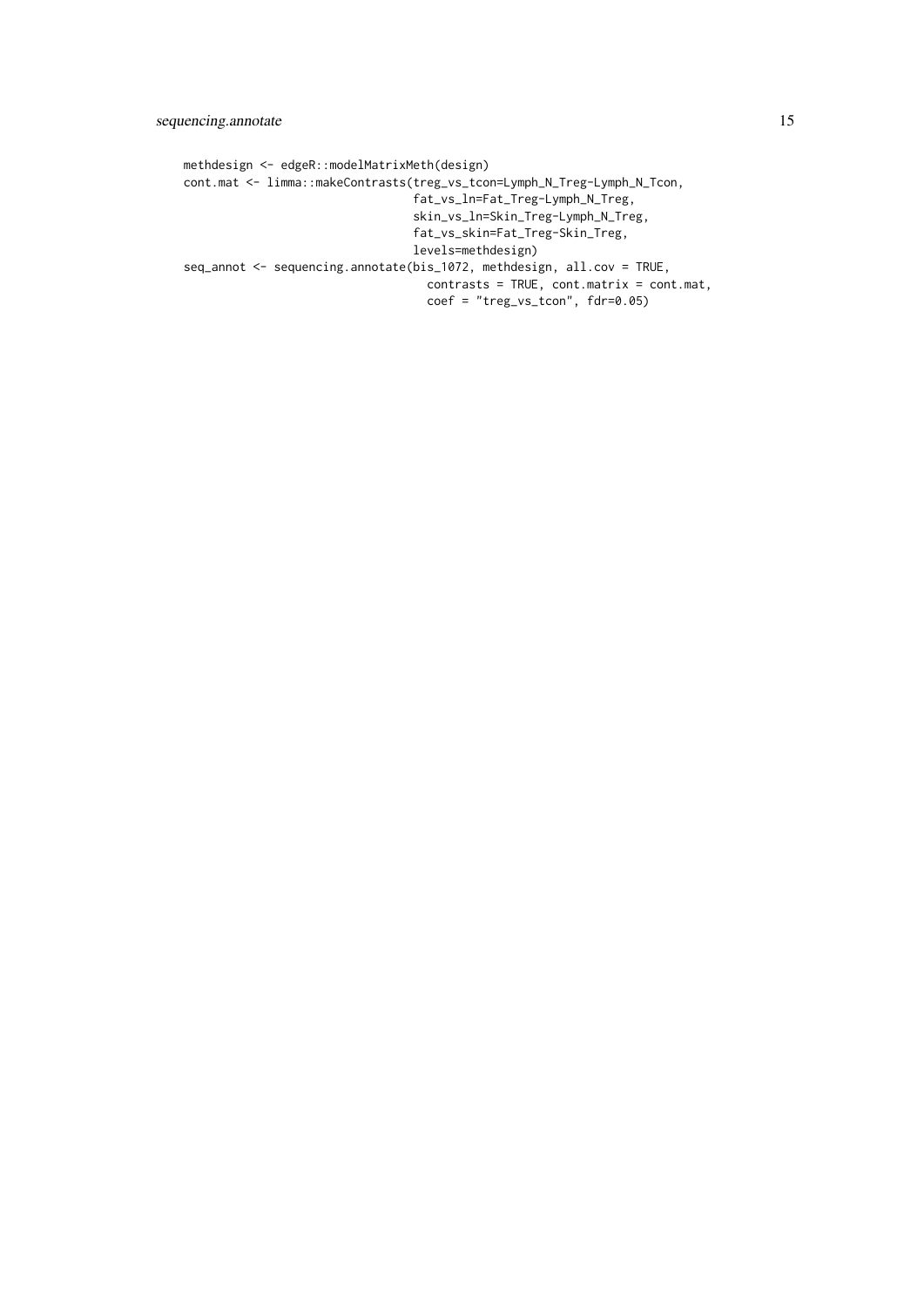methdesign <- edgeR::modelMatrixMeth(design) cont.mat <- limma::makeContrasts(treg\_vs\_tcon=Lymph\_N\_Treg-Lymph\_N\_Tcon, fat\_vs\_ln=Fat\_Treg-Lymph\_N\_Treg, skin\_vs\_ln=Skin\_Treg-Lymph\_N\_Treg, fat\_vs\_skin=Fat\_Treg-Skin\_Treg, levels=methdesign) seq\_annot <- sequencing.annotate(bis\_1072, methdesign, all.cov = TRUE, contrasts = TRUE, cont.matrix = cont.mat, coef = "treg\_vs\_tcon", fdr=0.05)